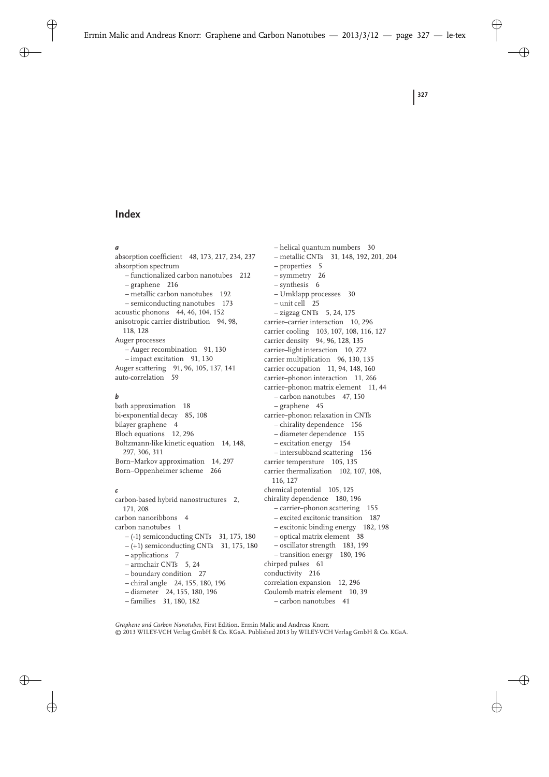# **Index**

#### *a*

absorption coefficient 48, 173, 217, 234, 237 absorption spectrum – functionalized carbon nanotubes 212 – graphene 216 – metallic carbon nanotubes 192 – semiconducting nanotubes 173 acoustic phonons 44, 46, 104, 152 anisotropic carrier distribution 94, 98, 118, 128 Auger processes – Auger recombination 91, 130 – impact excitation 91, 130 Auger scattering 91, 96, 105, 137, 141 auto-correlation 59

## *b*

bath approximation 18 bi-exponential decay 85, 108 bilayer graphene 4 Bloch equations 12, 296 Boltzmann-like kinetic equation 14, 148, 297, 306, 311 Born–Markov approximation 14, 297 Born–Oppenheimer scheme 266

#### *c*

carbon-based hybrid nanostructures 2, 171, 208 carbon nanoribbons 4 carbon nanotubes 1 – (-1) semiconducting CNTs 31, 175, 180  $- (+1)$  semiconducting CNTs 31, 175, 180 – applications 7 – armchair CNTs 5, 24 – boundary condition 27 – chiral angle 24, 155, 180, 196 – diameter 24, 155, 180, 196 – families 31, 180, 182

– helical quantum numbers 30 – metallic CNTs 31, 148, 192, 201, 204 – properties 5 – symmetry 26 – synthesis 6 – Umklapp processes 30 – unit cell 25 – zigzag CNTs 5, 24, 175 carrier–carrier interaction 10, 296 carrier cooling 103, 107, 108, 116, 127 carrier density 94, 96, 128, 135 carrier–light interaction 10, 272 carrier multiplication 96, 130, 135 carrier occupation 11, 94, 148, 160 carrier–phonon interaction 11, 266 carrier–phonon matrix element 11, 44 – carbon nanotubes 47, 150 – graphene 45 carrier–phonon relaxation in CNTs – chirality dependence 156 – diameter dependence 155 – excitation energy 154 – intersubband scattering 156 carrier temperature 105, 135 carrier thermalization 102, 107, 108, 116, 127 chemical potential 105, 125 chirality dependence 180, 196 – carrier–phonon scattering 155 – excited excitonic transition 187 – excitonic binding energy 182, 198 – optical matrix element 38 – oscillator strength 183, 199 – transition energy 180, 196 chirped pulses 61 conductivity 216 correlation expansion 12, 296 Coulomb matrix element 10, 39

– carbon nanotubes 41

*Graphene and Carbon Nanotubes*, First Edition. Ermin Malic and Andreas Knorr. © 2013 WILEY-VCH Verlag GmbH & Co. KGaA. Published 2013 by WILEY-VCH Verlag GmbH & Co. KGaA.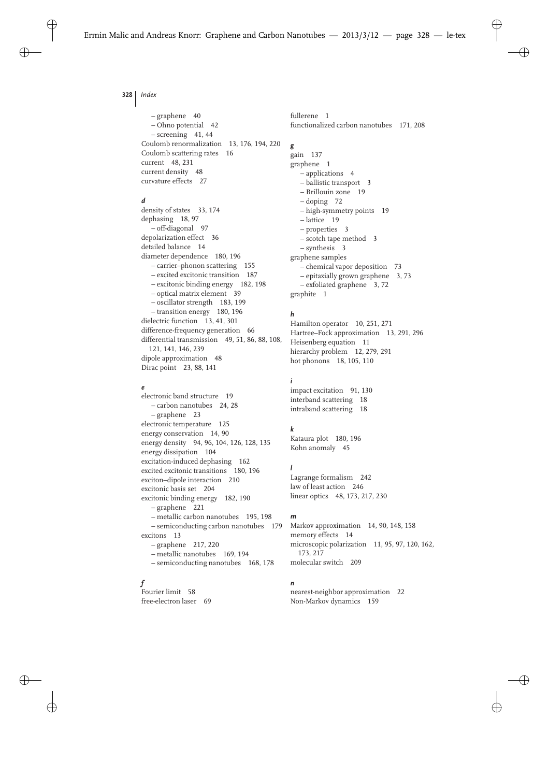**328** *Index*

– graphene 40 – Ohno potential 42 – screening 41, 44 Coulomb renormalization 13, 176, 194, 220 Coulomb scattering rates 16 current 48, 231 current density 48 curvature effects 27

## *d*

density of states 33, 174 dephasing 18, 97 – off-diagonal 97 depolarization effect 36 detailed balance 14 diameter dependence 180, 196 – carrier–phonon scattering 155 – excited excitonic transition 187 – excitonic binding energy 182, 198 – optical matrix element 39 – oscillator strength 183, 199 – transition energy 180, 196 dielectric function 13, 41, 301 difference-frequency generation 66 differential transmission 49, 51, 86, 88, 108, 121, 141, 146, 239 dipole approximation 48 Dirac point 23, 88, 141

#### *e*

electronic band structure 19 – carbon nanotubes 24, 28 – graphene 23 electronic temperature 125 energy conservation 14, 90 energy density 94, 96, 104, 126, 128, 135 energy dissipation 104 excitation-induced dephasing 162 excited excitonic transitions 180, 196 exciton–dipole interaction 210 excitonic basis set 204 excitonic binding energy 182, 190 – graphene 221 – metallic carbon nanotubes 195, 198 – semiconducting carbon nanotubes 179 excitons 13 – graphene 217, 220 – metallic nanotubes 169, 194 – semiconducting nanotubes 168, 178

## *f*

Fourier limit 58 free-electron laser 69 fullerene 1 functionalized carbon nanotubes 171, 208

## *g*

gain 137 graphene 1 – applications 4 – ballistic transport 3 – Brillouin zone 19 – doping 72 – high-symmetry points 19 – lattice 19 – properties 3 – scotch tape method 3 – synthesis 3 graphene samples – chemical vapor deposition 73 – epitaxially grown graphene 3, 73 – exfoliated graphene 3, 72 graphite 1

# *h*

Hamilton operator 10, 251, 271 Hartree–Fock approximation 13, 291, 296 Heisenberg equation 11 hierarchy problem 12, 279, 291 hot phonons 18, 105, 110

## *i*

impact excitation 91, 130 interband scattering 18 intraband scattering 18

## *k*

Kataura plot 180, 196 Kohn anomaly 45

## *l*

Lagrange formalism 242 law of least action 246 linear optics 48, 173, 217, 230

#### *m*

Markov approximation 14, 90, 148, 158 memory effects 14 microscopic polarization 11, 95, 97, 120, 162, 173, 217 molecular switch 209

## *n*

nearest-neighbor approximation 22 Non-Markov dynamics 159